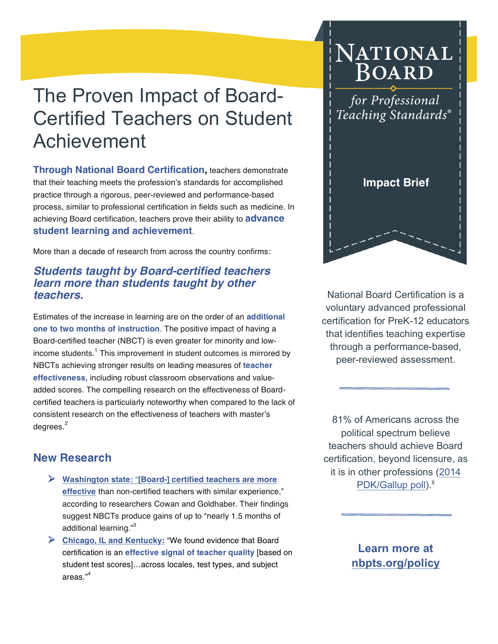# The Proven Impact of Board-Certified Teachers on Student Achievement

**Through National Board Certification,** teachers demonstrate that their teaching meets the profession's standards for accomplished practice through a rigorous, peer-reviewed and performance-based process, similar to professional certification in fields such as medicine. In achieving Board certification, teachers prove their ability to **advance student learning and achievement**.

More than a decade of research from across the country confirms:

#### *Students taught by Board-certified teachers learn more than students taught by other teachers.*

Estimates of the increase in learning are on the order of an **additional one to two months of instruction**. The positive impact of having a Board-certified teacher (NBCT) is even greater for minority and lowincome students.<sup>1</sup> This improvement in student outcomes is mirrored by NBCTs achieving stronger results on leading measures of **teacher effectiveness**, including robust classroom observations and valueadded scores. The compelling research on the effectiveness of Boardcertified teachers is particularly noteworthy when compared to the lack of consistent research on the effectiveness of teachers with master's degrees.<sup>2</sup>

## NATIONAL **BOARD**

for Professional Teaching Standards®



National Board Certification is a voluntary advanced professional certification for PreK-12 educators that identifies teaching expertise through a performance-based, peer-reviewed assessment.

81% of Americans across the political spectrum believe teachers should achieve Board certification, beyond licensure, as it is in other professions (2014 PDK/Gallup poll).<sup>5</sup>

#### **New Research**

- Ø **Washington state:** "**[Board-] certified teachers are more effective** than non-certified teachers with similar experience," according to researchers Cowan and Goldhaber. Their findings suggest NBCTs produce gains of up to "nearly 1.5 months of additional learning."<sup>3</sup>
- Ø **Chicago, IL and Kentucky:** "We found evidence that Board certification is an **effective signal of teacher quality** [based on student test scores]…across locales, test types, and subject areas."<sup>4</sup>

**Learn more at nbpts.org/policy**